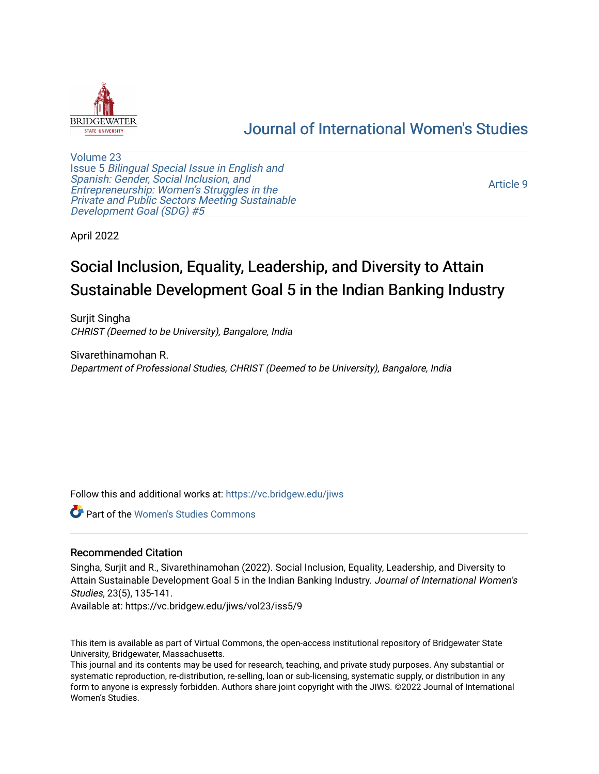

# [Journal of International Women's Studies](https://vc.bridgew.edu/jiws)

[Volume 23](https://vc.bridgew.edu/jiws/vol23) Issue 5 [Bilingual Special Issue in English and](https://vc.bridgew.edu/jiws/vol23/iss5)  [Spanish: Gender, Social Inclusion, and](https://vc.bridgew.edu/jiws/vol23/iss5)  [Entrepreneurship: Women's Struggles in the](https://vc.bridgew.edu/jiws/vol23/iss5)  [Private and Public Sectors Meeting Sustainable](https://vc.bridgew.edu/jiws/vol23/iss5) [Development Goal \(SDG\) #5](https://vc.bridgew.edu/jiws/vol23/iss5) 

[Article 9](https://vc.bridgew.edu/jiws/vol23/iss5/9) 

April 2022

# Social Inclusion, Equality, Leadership, and Diversity to Attain Sustainable Development Goal 5 in the Indian Banking Industry

Surjit Singha CHRIST (Deemed to be University), Bangalore, India

Sivarethinamohan R. Department of Professional Studies, CHRIST (Deemed to be University), Bangalore, India

Follow this and additional works at: [https://vc.bridgew.edu/jiws](https://vc.bridgew.edu/jiws?utm_source=vc.bridgew.edu%2Fjiws%2Fvol23%2Fiss5%2F9&utm_medium=PDF&utm_campaign=PDFCoverPages)

Part of the [Women's Studies Commons](http://network.bepress.com/hgg/discipline/561?utm_source=vc.bridgew.edu%2Fjiws%2Fvol23%2Fiss5%2F9&utm_medium=PDF&utm_campaign=PDFCoverPages) 

# Recommended Citation

Singha, Surjit and R., Sivarethinamohan (2022). Social Inclusion, Equality, Leadership, and Diversity to Attain Sustainable Development Goal 5 in the Indian Banking Industry. Journal of International Women's Studies, 23(5), 135-141.

Available at: https://vc.bridgew.edu/jiws/vol23/iss5/9

This item is available as part of Virtual Commons, the open-access institutional repository of Bridgewater State University, Bridgewater, Massachusetts.

This journal and its contents may be used for research, teaching, and private study purposes. Any substantial or systematic reproduction, re-distribution, re-selling, loan or sub-licensing, systematic supply, or distribution in any form to anyone is expressly forbidden. Authors share joint copyright with the JIWS. ©2022 Journal of International Women's Studies.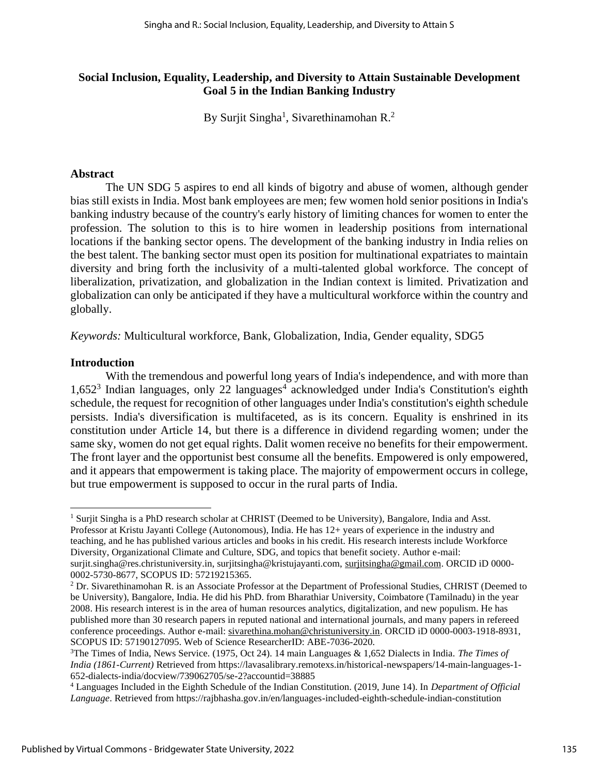# **Social Inclusion, Equality, Leadership, and Diversity to Attain Sustainable Development Goal 5 in the Indian Banking Industry**

By Surjit Singha<sup>1</sup>, Sivarethinamohan R.<sup>2</sup>

### **Abstract**

The UN SDG 5 aspires to end all kinds of bigotry and abuse of women, although gender bias still exists in India. Most bank employees are men; few women hold senior positions in India's banking industry because of the country's early history of limiting chances for women to enter the profession. The solution to this is to hire women in leadership positions from international locations if the banking sector opens. The development of the banking industry in India relies on the best talent. The banking sector must open its position for multinational expatriates to maintain diversity and bring forth the inclusivity of a multi-talented global workforce. The concept of liberalization, privatization, and globalization in the Indian context is limited. Privatization and globalization can only be anticipated if they have a multicultural workforce within the country and globally.

*Keywords:* Multicultural workforce, Bank, Globalization, India, Gender equality, SDG5

#### **Introduction**

With the tremendous and powerful long years of India's independence, and with more than 1,652<sup>3</sup> Indian languages, only 22 languages<sup>4</sup> acknowledged under India's Constitution's eighth schedule, the request for recognition of other languages under India's constitution's eighth schedule persists. India's diversification is multifaceted, as is its concern. Equality is enshrined in its constitution under Article 14, but there is a difference in dividend regarding women; under the same sky, women do not get equal rights. Dalit women receive no benefits for their empowerment. The front layer and the opportunist best consume all the benefits. Empowered is only empowered, and it appears that empowerment is taking place. The majority of empowerment occurs in college, but true empowerment is supposed to occur in the rural parts of India.

<sup>&</sup>lt;sup>1</sup> Surjit Singha is a PhD research scholar at CHRIST (Deemed to be University), Bangalore, India and Asst. Professor at Kristu Jayanti College (Autonomous), India. He has 12+ years of experience in the industry and teaching, and he has published various articles and books in his credit. His research interests include Workforce Diversity, Organizational Climate and Culture, SDG, and topics that benefit society. Author e-mail: surjit.singha@res.christuniversity.in, surjitsingha@kristujayanti.com, [surjitsingha@gmail.com.](mailto:surjitsingha@gmail.com) ORCID iD 0000-0002-5730-8677, SCOPUS ID: 57219215365.

<sup>&</sup>lt;sup>2</sup> Dr. Sivarethinamohan R. is an Associate Professor at the Department of Professional Studies, CHRIST (Deemed to be University), Bangalore, India. He did his PhD. from Bharathiar University, Coimbatore (Tamilnadu) in the year 2008. His research interest is in the area of human resources analytics, digitalization, and new populism. He has published more than 30 research papers in reputed national and international journals, and many papers in refereed conference proceedings. Author e-mail: [sivarethina.mohan@christuniversity.in.](mailto:sivarethina.mohan@christuniversity.in) ORCID iD 0000-0003-1918-8931, SCOPUS ID: 57190127095. Web of Science ResearcherID: ABE-7036-2020.

<sup>3</sup>The Times of India, News Service. (1975, Oct 24). 14 main Languages & 1,652 Dialects in India. *The Times of India (1861-Current)* Retrieved from https://lavasalibrary.remotexs.in/historical-newspapers/14-main-languages-1- 652-dialects-india/docview/739062705/se-2?accountid=38885

<sup>4</sup> Languages Included in the Eighth Schedule of the Indian Constitution. (2019, June 14). In *Department of Official Language*. Retrieved from https://rajbhasha.gov.in/en/languages-included-eighth-schedule-indian-constitution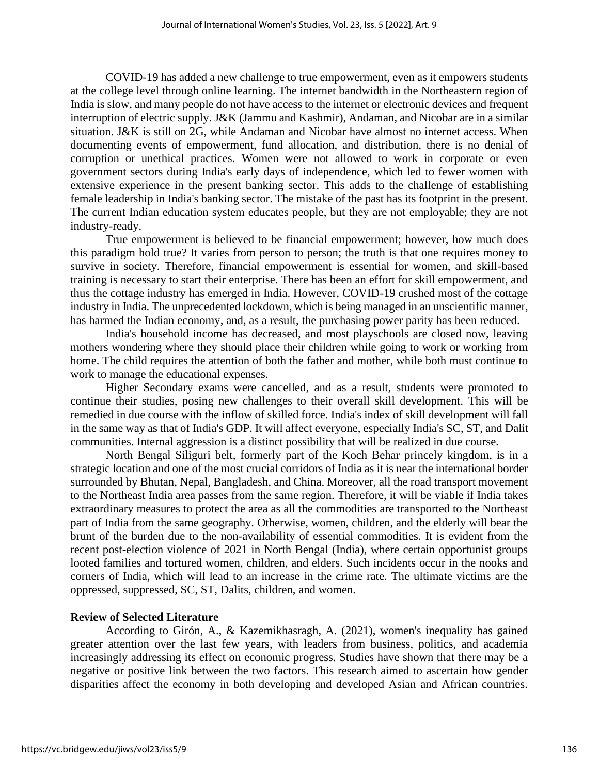COVID-19 has added a new challenge to true empowerment, even as it empowers students at the college level through online learning. The internet bandwidth in the Northeastern region of India is slow, and many people do not have access to the internet or electronic devices and frequent interruption of electric supply. J&K (Jammu and Kashmir), Andaman, and Nicobar are in a similar situation. J&K is still on 2G, while Andaman and Nicobar have almost no internet access. When documenting events of empowerment, fund allocation, and distribution, there is no denial of corruption or unethical practices. Women were not allowed to work in corporate or even government sectors during India's early days of independence, which led to fewer women with extensive experience in the present banking sector. This adds to the challenge of establishing female leadership in India's banking sector. The mistake of the past has its footprint in the present. The current Indian education system educates people, but they are not employable; they are not industry-ready.

True empowerment is believed to be financial empowerment; however, how much does this paradigm hold true? It varies from person to person; the truth is that one requires money to survive in society. Therefore, financial empowerment is essential for women, and skill-based training is necessary to start their enterprise. There has been an effort for skill empowerment, and thus the cottage industry has emerged in India. However, COVID-19 crushed most of the cottage industry in India. The unprecedented lockdown, which is being managed in an unscientific manner, has harmed the Indian economy, and, as a result, the purchasing power parity has been reduced.

India's household income has decreased, and most playschools are closed now, leaving mothers wondering where they should place their children while going to work or working from home. The child requires the attention of both the father and mother, while both must continue to work to manage the educational expenses.

Higher Secondary exams were cancelled, and as a result, students were promoted to continue their studies, posing new challenges to their overall skill development. This will be remedied in due course with the inflow of skilled force. India's index of skill development will fall in the same way as that of India's GDP. It will affect everyone, especially India's SC, ST, and Dalit communities. Internal aggression is a distinct possibility that will be realized in due course.

North Bengal Siliguri belt, formerly part of the Koch Behar princely kingdom, is in a strategic location and one of the most crucial corridors of India as it is near the international border surrounded by Bhutan, Nepal, Bangladesh, and China. Moreover, all the road transport movement to the Northeast India area passes from the same region. Therefore, it will be viable if India takes extraordinary measures to protect the area as all the commodities are transported to the Northeast part of India from the same geography. Otherwise, women, children, and the elderly will bear the brunt of the burden due to the non-availability of essential commodities. It is evident from the recent post-election violence of 2021 in North Bengal (India), where certain opportunist groups looted families and tortured women, children, and elders. Such incidents occur in the nooks and corners of India, which will lead to an increase in the crime rate. The ultimate victims are the oppressed, suppressed, SC, ST, Dalits, children, and women.

#### **Review of Selected Literature**

According to Girón, A., & Kazemikhasragh, A. (2021), women's inequality has gained greater attention over the last few years, with leaders from business, politics, and academia increasingly addressing its effect on economic progress. Studies have shown that there may be a negative or positive link between the two factors. This research aimed to ascertain how gender disparities affect the economy in both developing and developed Asian and African countries.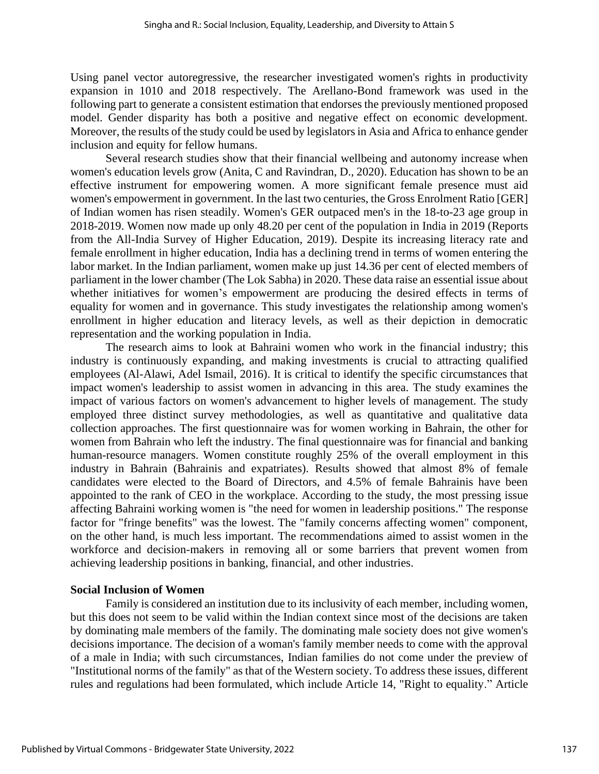Using panel vector autoregressive, the researcher investigated women's rights in productivity expansion in 1010 and 2018 respectively. The Arellano-Bond framework was used in the following part to generate a consistent estimation that endorses the previously mentioned proposed model. Gender disparity has both a positive and negative effect on economic development. Moreover, the results of the study could be used by legislators in Asia and Africa to enhance gender inclusion and equity for fellow humans.

Several research studies show that their financial wellbeing and autonomy increase when women's education levels grow (Anita, C and Ravindran, D., 2020). Education has shown to be an effective instrument for empowering women. A more significant female presence must aid women's empowerment in government. In the last two centuries, the Gross Enrolment Ratio [GER] of Indian women has risen steadily. Women's GER outpaced men's in the 18-to-23 age group in 2018-2019. Women now made up only 48.20 per cent of the population in India in 2019 (Reports from the All-India Survey of Higher Education, 2019). Despite its increasing literacy rate and female enrollment in higher education, India has a declining trend in terms of women entering the labor market. In the Indian parliament, women make up just 14.36 per cent of elected members of parliament in the lower chamber (The Lok Sabha) in 2020. These data raise an essential issue about whether initiatives for women's empowerment are producing the desired effects in terms of equality for women and in governance. This study investigates the relationship among women's enrollment in higher education and literacy levels, as well as their depiction in democratic representation and the working population in India.

The research aims to look at Bahraini women who work in the financial industry; this industry is continuously expanding, and making investments is crucial to attracting qualified employees (Al-Alawi, Adel Ismail, 2016). It is critical to identify the specific circumstances that impact women's leadership to assist women in advancing in this area. The study examines the impact of various factors on women's advancement to higher levels of management. The study employed three distinct survey methodologies, as well as quantitative and qualitative data collection approaches. The first questionnaire was for women working in Bahrain, the other for women from Bahrain who left the industry. The final questionnaire was for financial and banking human-resource managers. Women constitute roughly 25% of the overall employment in this industry in Bahrain (Bahrainis and expatriates). Results showed that almost 8% of female candidates were elected to the Board of Directors, and 4.5% of female Bahrainis have been appointed to the rank of CEO in the workplace. According to the study, the most pressing issue affecting Bahraini working women is "the need for women in leadership positions." The response factor for "fringe benefits" was the lowest. The "family concerns affecting women" component, on the other hand, is much less important. The recommendations aimed to assist women in the workforce and decision-makers in removing all or some barriers that prevent women from achieving leadership positions in banking, financial, and other industries.

#### **Social Inclusion of Women**

Family is considered an institution due to its inclusivity of each member, including women, but this does not seem to be valid within the Indian context since most of the decisions are taken by dominating male members of the family. The dominating male society does not give women's decisions importance. The decision of a woman's family member needs to come with the approval of a male in India; with such circumstances, Indian families do not come under the preview of "Institutional norms of the family" as that of the Western society. To address these issues, different rules and regulations had been formulated, which include Article 14, "Right to equality." Article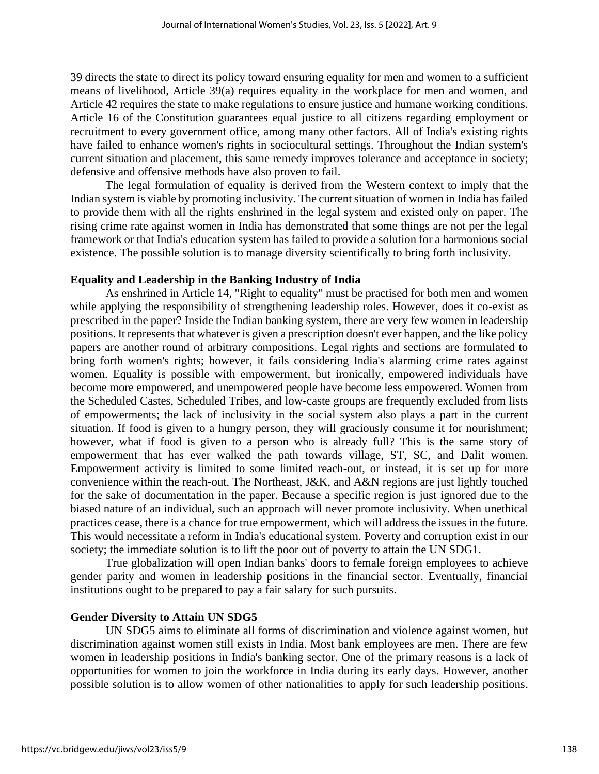39 directs the state to direct its policy toward ensuring equality for men and women to a sufficient means of livelihood, Article 39(a) requires equality in the workplace for men and women, and Article 42 requires the state to make regulations to ensure justice and humane working conditions. Article 16 of the Constitution guarantees equal justice to all citizens regarding employment or recruitment to every government office, among many other factors. All of India's existing rights have failed to enhance women's rights in sociocultural settings. Throughout the Indian system's current situation and placement, this same remedy improves tolerance and acceptance in society; defensive and offensive methods have also proven to fail.

The legal formulation of equality is derived from the Western context to imply that the Indian system is viable by promoting inclusivity. The current situation of women in India has failed to provide them with all the rights enshrined in the legal system and existed only on paper. The rising crime rate against women in India has demonstrated that some things are not per the legal framework or that India's education system has failed to provide a solution for a harmonious social existence. The possible solution is to manage diversity scientifically to bring forth inclusivity.

# **Equality and Leadership in the Banking Industry of India**

As enshrined in Article 14, "Right to equality" must be practised for both men and women while applying the responsibility of strengthening leadership roles. However, does it co-exist as prescribed in the paper? Inside the Indian banking system, there are very few women in leadership positions. It represents that whatever is given a prescription doesn't ever happen, and the like policy papers are another round of arbitrary compositions. Legal rights and sections are formulated to bring forth women's rights; however, it fails considering India's alarming crime rates against women. Equality is possible with empowerment, but ironically, empowered individuals have become more empowered, and unempowered people have become less empowered. Women from the Scheduled Castes, Scheduled Tribes, and low-caste groups are frequently excluded from lists of empowerments; the lack of inclusivity in the social system also plays a part in the current situation. If food is given to a hungry person, they will graciously consume it for nourishment; however, what if food is given to a person who is already full? This is the same story of empowerment that has ever walked the path towards village, ST, SC, and Dalit women. Empowerment activity is limited to some limited reach-out, or instead, it is set up for more convenience within the reach-out. The Northeast, J&K, and A&N regions are just lightly touched for the sake of documentation in the paper. Because a specific region is just ignored due to the biased nature of an individual, such an approach will never promote inclusivity. When unethical practices cease, there is a chance for true empowerment, which will address the issues in the future. This would necessitate a reform in India's educational system. Poverty and corruption exist in our society; the immediate solution is to lift the poor out of poverty to attain the UN SDG1.

True globalization will open Indian banks' doors to female foreign employees to achieve gender parity and women in leadership positions in the financial sector. Eventually, financial institutions ought to be prepared to pay a fair salary for such pursuits.

#### **Gender Diversity to Attain UN SDG5**

UN SDG5 aims to eliminate all forms of discrimination and violence against women, but discrimination against women still exists in India. Most bank employees are men. There are few women in leadership positions in India's banking sector. One of the primary reasons is a lack of opportunities for women to join the workforce in India during its early days. However, another possible solution is to allow women of other nationalities to apply for such leadership positions.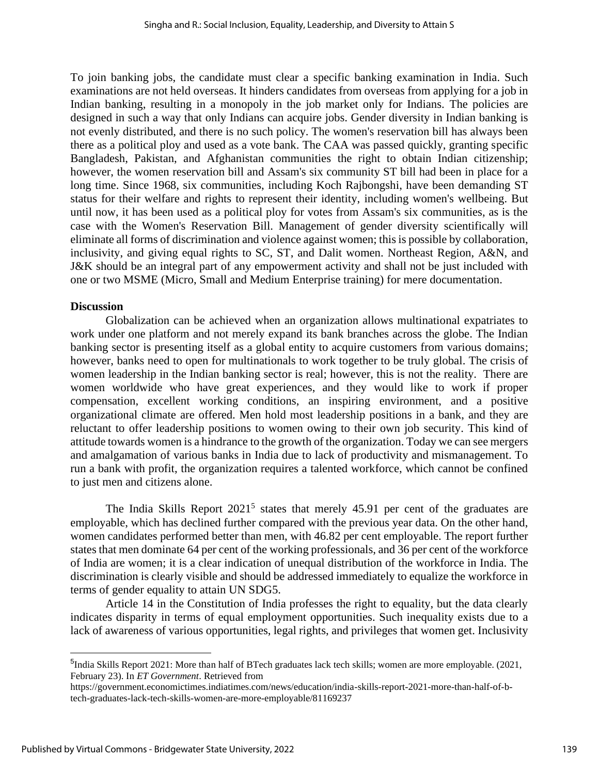To join banking jobs, the candidate must clear a specific banking examination in India. Such examinations are not held overseas. It hinders candidates from overseas from applying for a job in Indian banking, resulting in a monopoly in the job market only for Indians. The policies are designed in such a way that only Indians can acquire jobs. Gender diversity in Indian banking is not evenly distributed, and there is no such policy. The women's reservation bill has always been there as a political ploy and used as a vote bank. The CAA was passed quickly, granting specific Bangladesh, Pakistan, and Afghanistan communities the right to obtain Indian citizenship; however, the women reservation bill and Assam's six community ST bill had been in place for a long time. Since 1968, six communities, including Koch Rajbongshi, have been demanding ST status for their welfare and rights to represent their identity, including women's wellbeing. But until now, it has been used as a political ploy for votes from Assam's six communities, as is the case with the Women's Reservation Bill. Management of gender diversity scientifically will eliminate all forms of discrimination and violence against women; this is possible by collaboration, inclusivity, and giving equal rights to SC, ST, and Dalit women. Northeast Region, A&N, and J&K should be an integral part of any empowerment activity and shall not be just included with one or two MSME (Micro, Small and Medium Enterprise training) for mere documentation.

#### **Discussion**

Globalization can be achieved when an organization allows multinational expatriates to work under one platform and not merely expand its bank branches across the globe. The Indian banking sector is presenting itself as a global entity to acquire customers from various domains; however, banks need to open for multinationals to work together to be truly global. The crisis of women leadership in the Indian banking sector is real; however, this is not the reality. There are women worldwide who have great experiences, and they would like to work if proper compensation, excellent working conditions, an inspiring environment, and a positive organizational climate are offered. Men hold most leadership positions in a bank, and they are reluctant to offer leadership positions to women owing to their own job security. This kind of attitude towards women is a hindrance to the growth of the organization. Today we can see mergers and amalgamation of various banks in India due to lack of productivity and mismanagement. To run a bank with profit, the organization requires a talented workforce, which cannot be confined to just men and citizens alone.

The India Skills Report  $2021^5$  states that merely 45.91 per cent of the graduates are employable, which has declined further compared with the previous year data. On the other hand, women candidates performed better than men, with 46.82 per cent employable. The report further states that men dominate 64 per cent of the working professionals, and 36 per cent of the workforce of India are women; it is a clear indication of unequal distribution of the workforce in India. The discrimination is clearly visible and should be addressed immediately to equalize the workforce in terms of gender equality to attain UN SDG5.

Article 14 in the Constitution of India professes the right to equality, but the data clearly indicates disparity in terms of equal employment opportunities. Such inequality exists due to a lack of awareness of various opportunities, legal rights, and privileges that women get. Inclusivity

<sup>&</sup>lt;sup>5</sup>India Skills Report 2021: More than half of BTech graduates lack tech skills; women are more employable. (2021, February 23). In *ET Government*. Retrieved from

https://government.economictimes.indiatimes.com/news/education/india-skills-report-2021-more-than-half-of-btech-graduates-lack-tech-skills-women-are-more-employable/81169237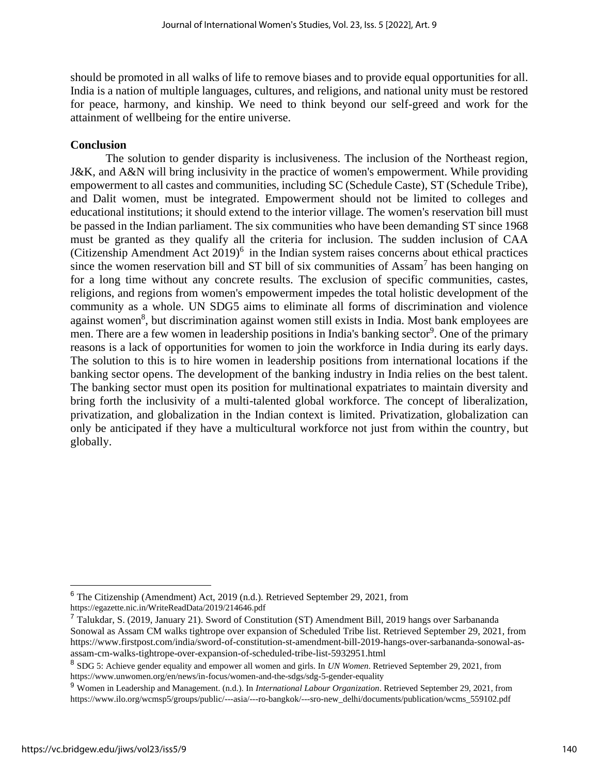should be promoted in all walks of life to remove biases and to provide equal opportunities for all. India is a nation of multiple languages, cultures, and religions, and national unity must be restored for peace, harmony, and kinship. We need to think beyond our self-greed and work for the attainment of wellbeing for the entire universe.

# **Conclusion**

The solution to gender disparity is inclusiveness. The inclusion of the Northeast region, J&K, and A&N will bring inclusivity in the practice of women's empowerment. While providing empowerment to all castes and communities, including SC (Schedule Caste), ST (Schedule Tribe), and Dalit women, must be integrated. Empowerment should not be limited to colleges and educational institutions; it should extend to the interior village. The women's reservation bill must be passed in the Indian parliament. The six communities who have been demanding ST since 1968 must be granted as they qualify all the criteria for inclusion. The sudden inclusion of CAA (Citizenship Amendment Act  $2019$ <sup>6</sup> in the Indian system raises concerns about ethical practices since the women reservation bill and ST bill of six communities of Assam<sup>7</sup> has been hanging on for a long time without any concrete results. The exclusion of specific communities, castes, religions, and regions from women's empowerment impedes the total holistic development of the community as a whole. UN SDG5 aims to eliminate all forms of discrimination and violence against women<sup>8</sup>, but discrimination against women still exists in India. Most bank employees are men. There are a few women in leadership positions in India's banking sector<sup>9</sup>. One of the primary reasons is a lack of opportunities for women to join the workforce in India during its early days. The solution to this is to hire women in leadership positions from international locations if the banking sector opens. The development of the banking industry in India relies on the best talent. The banking sector must open its position for multinational expatriates to maintain diversity and bring forth the inclusivity of a multi-talented global workforce. The concept of liberalization, privatization, and globalization in the Indian context is limited. Privatization, globalization can only be anticipated if they have a multicultural workforce not just from within the country, but globally.

<sup>6</sup> The Citizenship (Amendment) Act, 2019 (n.d.). Retrieved September 29, 2021, from https://egazette.nic.in/WriteReadData/2019/214646.pdf

<sup>7</sup> Talukdar, S. (2019, January 21). Sword of Constitution (ST) Amendment Bill, 2019 hangs over Sarbananda Sonowal as Assam CM walks tightrope over expansion of Scheduled Tribe list. Retrieved September 29, 2021, from https://www.firstpost.com/india/sword-of-constitution-st-amendment-bill-2019-hangs-over-sarbananda-sonowal-asassam-cm-walks-tightrope-over-expansion-of-scheduled-tribe-list-5932951.html

<sup>8</sup> SDG 5: Achieve gender equality and empower all women and girls. In *UN Women*. Retrieved September 29, 2021, from https://www.unwomen.org/en/news/in-focus/women-and-the-sdgs/sdg-5-gender-equality

<sup>9</sup> Women in Leadership and Management. (n.d.). In *International Labour Organization*. Retrieved September 29, 2021, from https://www.ilo.org/wcmsp5/groups/public/---asia/---ro-bangkok/---sro-new\_delhi/documents/publication/wcms\_559102.pdf